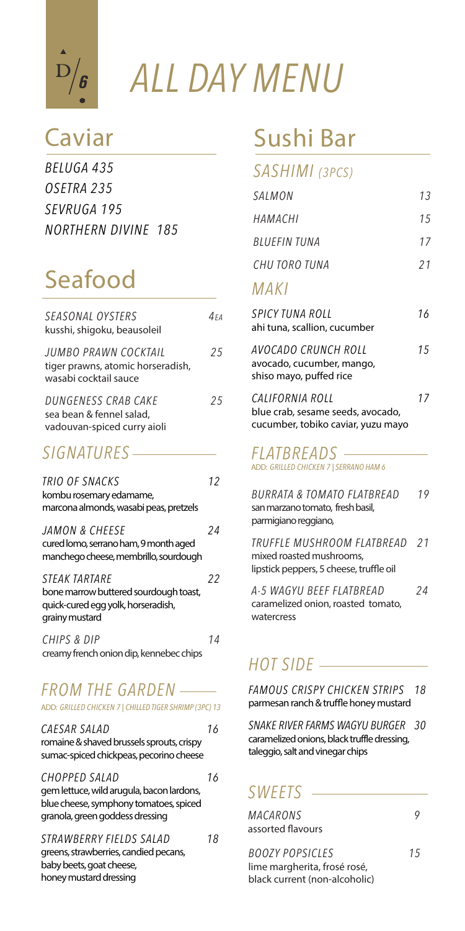

*ALL DAY MENU* 

| BELUGA 435                 |  |
|----------------------------|--|
| OSETRA 235                 |  |
| SEVRUGA 195                |  |
| <b>NORTHERN DIVINE 185</b> |  |

# Seafood

| SEASONAL OYSTERS<br>kusshi, shigoku, beausoleil                                    | 4 F A |
|------------------------------------------------------------------------------------|-------|
| JUMBO PRAWN COCKTAIL<br>tiger prawns, atomic horseradish,<br>wasabi cocktail sauce | 25    |
| DUNGENESS CRAB CAKE<br>sea bean & fennel salad.<br>vadouvan-spiced curry aioli     | 25    |
| SIGNATURES                                                                         |       |

### *TRIO OF SNACKS 12* kombu rosemary edamame, marcona almonds, wasabi peas, pretzels *JAMON & CHEESE 24* cured lomo, serrano ham, 9 month aged manchego cheese, membrillo, sourdough *STEAK TARTARE 22* bone marrow buttered sourdough toast,

quick-cured egg yolk, horseradish, grainy mustard *CHIPS & DIP 14*

creamy french onion dip, kennebec chips

### *FROM THE GARDEN* ADD: *GRILLED CHICKEN 7 | CHILLED TIGER SHRIMP (3PC) 13*

| CAESAR SALAD                              | 16 |
|-------------------------------------------|----|
| romaine & shaved brussels sprouts, crispy |    |
| sumac-spiced chickpeas, pecorino cheese   |    |

*CHOPPED SALAD 16* gem lettuce, wild arugula, bacon lardons, blue cheese, symphony tomatoes, spiced granola, green goddess dressing

*STRAWBERRY FIELDS SALAD 18* greens, strawberries, candied pecans,

baby beets, goat cheese, honey mustard dressing

# Caviar Sushi Bar

### *SASHIMI (3PCS)*

| SALMON                                                                                     | 13 |
|--------------------------------------------------------------------------------------------|----|
| НАМАСНІ                                                                                    | 15 |
| <b>BILIFFIN TUNA</b>                                                                       | 17 |
| CHU TORO TUNA                                                                              | 21 |
| MAKI                                                                                       |    |
| SPICY TUNA ROLL<br>ahi tuna, scallion, cucumber                                            | 16 |
| AVOCADO CRUNCH ROLL<br>avocado, cucumber, mango,<br>shiso mayo, puffed rice                | 15 |
| CALIFORNIA ROLL<br>blue crab, sesame seeds, avocado,<br>cucumber, tobiko caviar, yuzu mayo | 17 |

#### *FLATBREADS* ADD: *GRILLED CHICKEN 7 | SERRANO HAM 6*

| BURRATA & TOMATO FLATBREAD<br>san marzano tomato, fresh basil,<br>parmigiano reggiano,            | 19 |
|---------------------------------------------------------------------------------------------------|----|
| TRUFFLE MUSHROOM FLATBREAD<br>mixed roasted mushrooms,<br>lipstick peppers, 5 cheese, truffle oil | 21 |
| A-5 WAGYU BEEF FLATBREAD<br>caramelized onion, roasted tomato,                                    | 24 |

### *HOT SIDE*

watercress

*FAMOUS CRISPY CHICKEN STRIPS 18* parmesan ranch & truffle honey mustard

*SNAKE RIVER FARMS WAGYU BURGER 30* caramelized onions, black truffle dressing, taleggio, salt and vinegar chips

### *SWEETS*

| MACARONS           |        |
|--------------------|--------|
| assorted flavours  |        |
| $0.071/0.001$ $C1$ | $\tau$ |

*BOOZY POPSICLES 15*  lime margherita, frosé rosé, black current (non-alcoholic)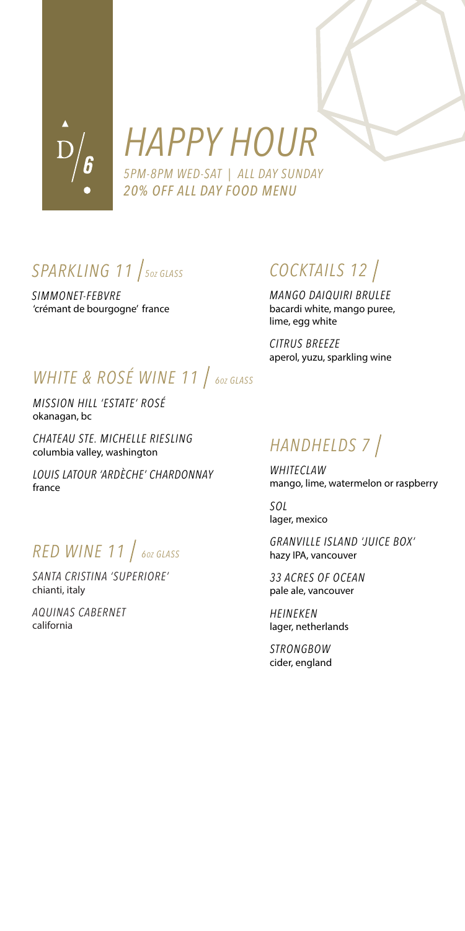

# *HAPPY HOUR*

*5PM-8PM WED-SAT | ALL DAY SUNDAY 20% OFF ALL DAY FOOD MENU* 

SPARKLING 11 / 50Z GLASS

*SIMMONET-FEBVRE*  'crémant de bourgogne' france

# *COCKTAILS 12*

*MANGO DAIQUIRI BRULEE*  bacardi white, mango puree, lime, egg white

*CITRUS BREEZE* aperol, yuzu, sparkling wine

# *WHITE & ROSÉ WINE 11* / 60Z GLASS

*MISSION HILL 'ESTATE' ROSÉ*  okanagan, bc

*CHATEAU STE. MICHELLE RIESLING*  columbia valley, washington

*LOUIS LATOUR 'ARDÈCHE' CHARDONNAY*  france

# *RED WINE 11 6OZ GLASS*

*SANTA CRISTINA 'SUPERIORE'*  chianti, italy

*AQUINAS CABERNET* california

## *HANDHELDS 7*

*WHITECLAW* mango, lime, watermelon or raspberry

*SOL* lager, mexico

*GRANVILLE ISLAND 'JUICE BOX'* hazy IPA, vancouver

*33 ACRES OF OCEAN* pale ale, vancouver

*HEINEKEN* lager, netherlands

*STRONGBOW* cider, england